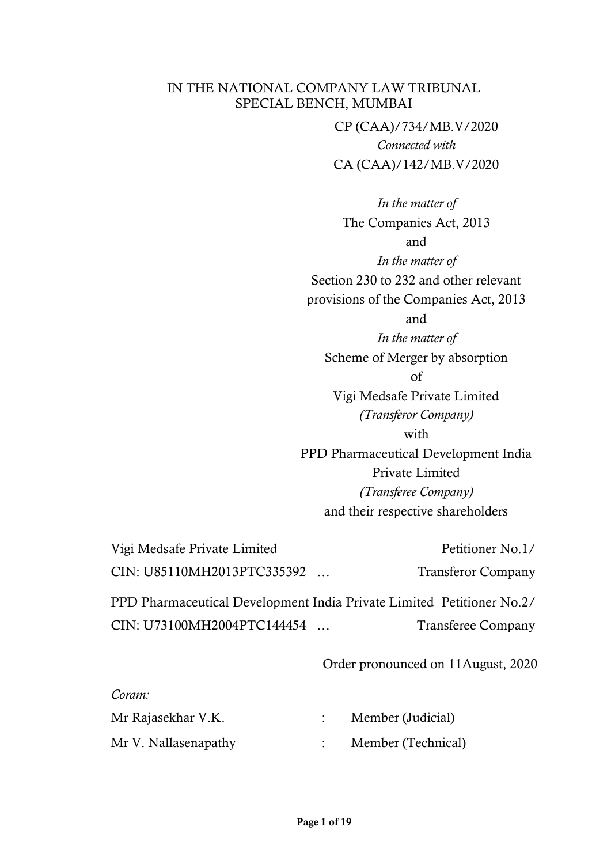CP (CAA)/734/MB.V/2020 *Connected with*  CA (CAA)/142/MB.V/2020

*In the matter of* The Companies Act, 2013 and *In the matter of* Section 230 to 232 and other relevant provisions of the Companies Act, 2013 and *In the matter of* Scheme of Merger by absorption of Vigi Medsafe Private Limited *(Transferor Company)*  with PPD Pharmaceutical Development India Private Limited *(Transferee Company)*  and their respective shareholders

Vigi Medsafe Private Limited Petitioner No.1/ CIN: U85110MH2013PTC335392 ... Transferor Company

PPD Pharmaceutical Development India Private Limited Petitioner No.2/ CIN: U73100MH2004PTC144454 ... Transferee Company

Order pronounced on 11August, 2020

| Coram.               |                    |
|----------------------|--------------------|
| Mr Rajasekhar V.K.   | Member (Judicial)  |
| Mr V. Nallasenapathy | Member (Technical) |

*Coram:*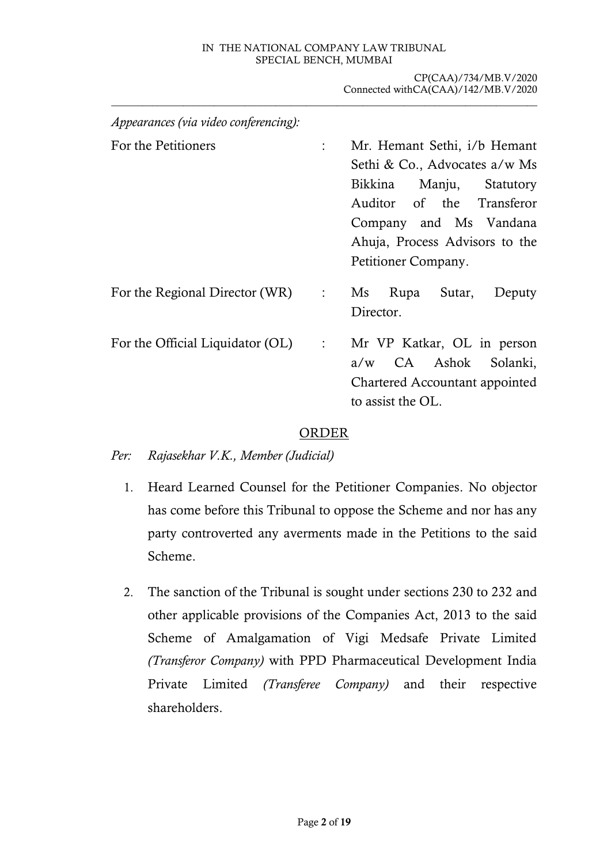CP(CAA)/734/MB.V/2020 Connected withCA(CAA)/142/MB.V/2020 \_\_\_\_\_\_\_\_\_\_\_\_\_\_\_\_\_\_\_\_\_\_\_\_\_\_\_\_\_\_\_\_\_\_\_\_\_\_\_\_\_\_\_\_\_\_\_\_\_\_\_\_\_\_\_\_\_\_\_\_\_\_\_\_\_\_\_\_\_\_\_\_\_\_\_\_\_\_\_\_\_\_\_

| Appearances (via video conferencing): |                   |                                                                                                                                                                                                           |
|---------------------------------------|-------------------|-----------------------------------------------------------------------------------------------------------------------------------------------------------------------------------------------------------|
| For the Petitioners                   | $\ddot{\cdot}$    | Mr. Hemant Sethi, i/b Hemant<br>Sethi & Co., Advocates a/w Ms<br>Bikkina Manju, Statutory<br>Auditor of the Transferor<br>Company and Ms Vandana<br>Ahuja, Process Advisors to the<br>Petitioner Company. |
| For the Regional Director (WR)        | $\sim 1000$ $\mu$ | Rupa Sutar,<br>$\overline{\text{Ms}}$<br>Deputy<br>Director.                                                                                                                                              |
| For the Official Liquidator (OL)      | $\sim 10^{-10}$   | Mr VP Katkar, OL in person<br>a/w CA Ashok<br>Solanki,<br>Chartered Accountant appointed<br>to assist the OL.                                                                                             |

# ORDER

*Per: Rajasekhar V.K., Member (Judicial)*

- 1. Heard Learned Counsel for the Petitioner Companies. No objector has come before this Tribunal to oppose the Scheme and nor has any party controverted any averments made in the Petitions to the said Scheme.
- 2. The sanction of the Tribunal is sought under sections 230 to 232 and other applicable provisions of the Companies Act, 2013 to the said Scheme of Amalgamation of Vigi Medsafe Private Limited *(Transferor Company)* with PPD Pharmaceutical Development India Private Limited *(Transferee Company)* and their respective shareholders.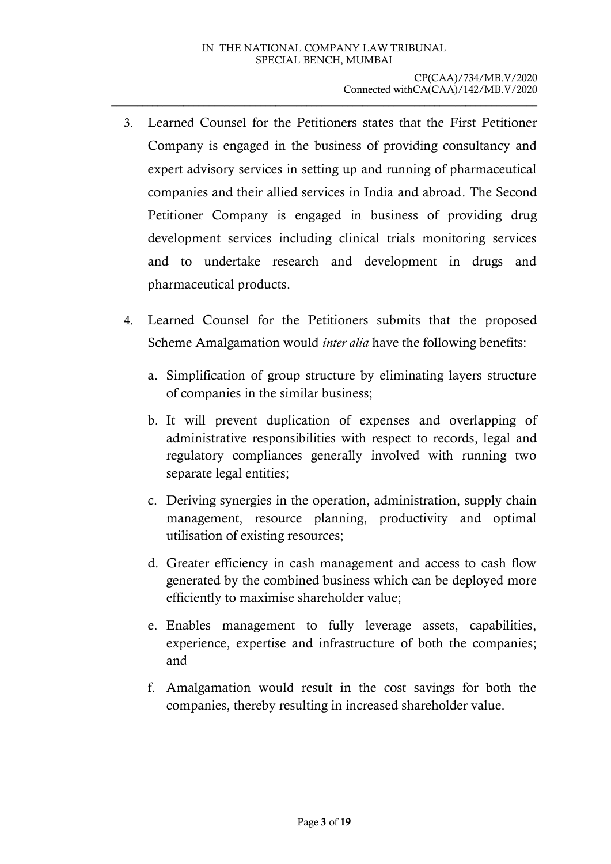- 3. Learned Counsel for the Petitioners states that the First Petitioner Company is engaged in the business of providing consultancy and expert advisory services in setting up and running of pharmaceutical companies and their allied services in India and abroad. The Second Petitioner Company is engaged in business of providing drug development services including clinical trials monitoring services and to undertake research and development in drugs and pharmaceutical products.
- 4. Learned Counsel for the Petitioners submits that the proposed Scheme Amalgamation would *inter alia* have the following benefits:
	- a. Simplification of group structure by eliminating layers structure of companies in the similar business;
	- b. It will prevent duplication of expenses and overlapping of administrative responsibilities with respect to records, legal and regulatory compliances generally involved with running two separate legal entities;
	- c. Deriving synergies in the operation, administration, supply chain management, resource planning, productivity and optimal utilisation of existing resources;
	- d. Greater efficiency in cash management and access to cash flow generated by the combined business which can be deployed more efficiently to maximise shareholder value;
	- e. Enables management to fully leverage assets, capabilities, experience, expertise and infrastructure of both the companies; and
	- f. Amalgamation would result in the cost savings for both the companies, thereby resulting in increased shareholder value.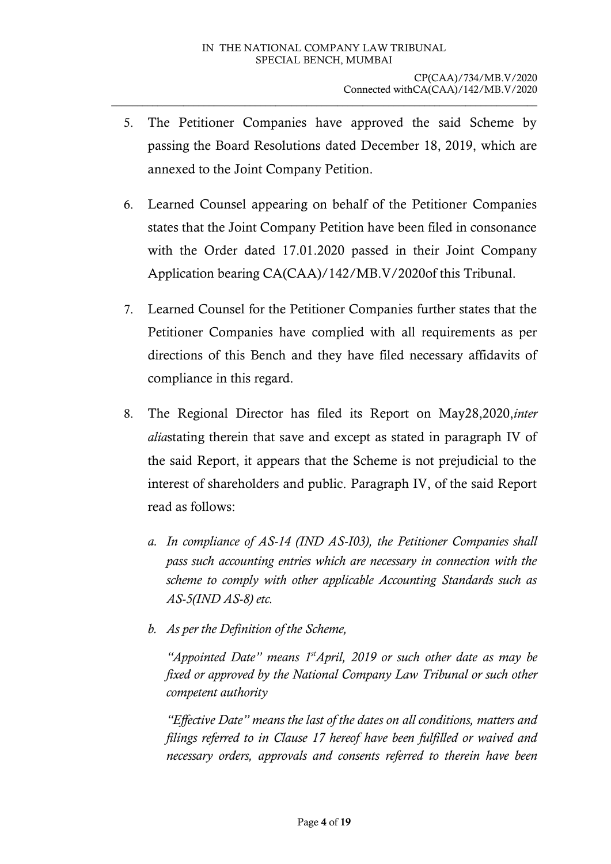- 5. The Petitioner Companies have approved the said Scheme by passing the Board Resolutions dated December 18, 2019, which are annexed to the Joint Company Petition.
- 6. Learned Counsel appearing on behalf of the Petitioner Companies states that the Joint Company Petition have been filed in consonance with the Order dated 17.01.2020 passed in their Joint Company Application bearing CA(CAA)/142/MB.V/2020of this Tribunal.
- 7. Learned Counsel for the Petitioner Companies further states that the Petitioner Companies have complied with all requirements as per directions of this Bench and they have filed necessary affidavits of compliance in this regard.
- 8. The Regional Director has filed its Report on May28,2020,*inter alia*stating therein that save and except as stated in paragraph IV of the said Report, it appears that the Scheme is not prejudicial to the interest of shareholders and public. Paragraph IV, of the said Report read as follows:
	- *a. In compliance of AS-14 (IND AS-I03), the Petitioner Companies shall pass such accounting entries which are necessary in connection with the scheme to comply with other applicable Accounting Standards such as AS-5(IND AS-8) etc.*
	- *b. As per the Definition of the Scheme,*

*"Appointed Date" means 1stApril, 2019 or such other date as may be fixed or approved by the National Company Law Tribunal or such other competent authority* 

*"Effective Date" means the last of the dates on all conditions, matters and filings referred to in Clause 17 hereof have been fulfilled or waived and necessary orders, approvals and consents referred to therein have been*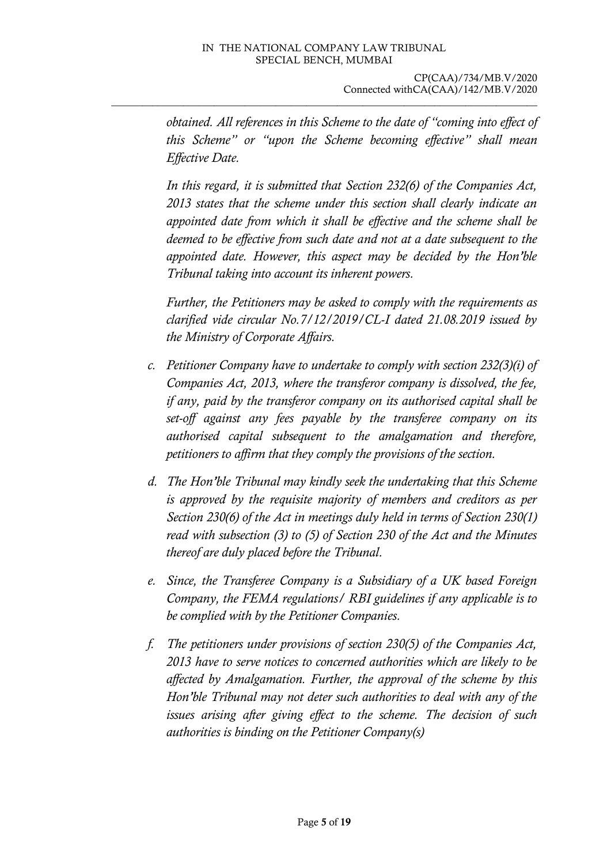*obtained. All references in this Scheme to the date of "coming into effect of this Scheme" or "upon the Scheme becoming effective" shall mean Effective Date.*

*In this regard, it is submitted that Section 232(6) of the Companies Act, 2013 states that the scheme under this section shall clearly indicate an appointed date from which it shall be effective and the scheme shall be deemed to be effective from such date and not at a date subsequent to the appointed date. However, this aspect may be decided by the Hon'ble Tribunal taking into account its inherent powers.*

*Further, the Petitioners may be asked to comply with the requirements as clarified vide circular No.7/12/2019/CL-I dated 21.08.2019 issued by the Ministry of Corporate Affairs.*

- *c. Petitioner Company have to undertake to comply with section 232(3)(i) of Companies Act, 2013, where the transferor company is dissolved, the fee, if any, paid by the transferor company on its authorised capital shall be set-off against any fees payable by the transferee company on its authorised capital subsequent to the amalgamation and therefore, petitioners to affirm that they comply the provisions of the section.*
- *d. The Hon'ble Tribunal may kindly seek the undertaking that this Scheme is approved by the requisite majority of members and creditors as per Section 230(6) of the Act in meetings duly held in terms of Section 230(1) read with subsection (3) to (5) of Section 230 of the Act and the Minutes thereof are duly placed before the Tribunal.*
- *e. Since, the Transferee Company is a Subsidiary of a UK based Foreign Company, the FEMA regulations/ RBI guidelines if any applicable is to be complied with by the Petitioner Companies.*
- *f. The petitioners under provisions of section 230(5) of the Companies Act, 2013 have to serve notices to concerned authorities which are likely to be affected by Amalgamation. Further, the approval of the scheme by this Hon'ble Tribunal may not deter such authorities to deal with any of the issues arising after giving effect to the scheme. The decision of such authorities is binding on the Petitioner Company(s)*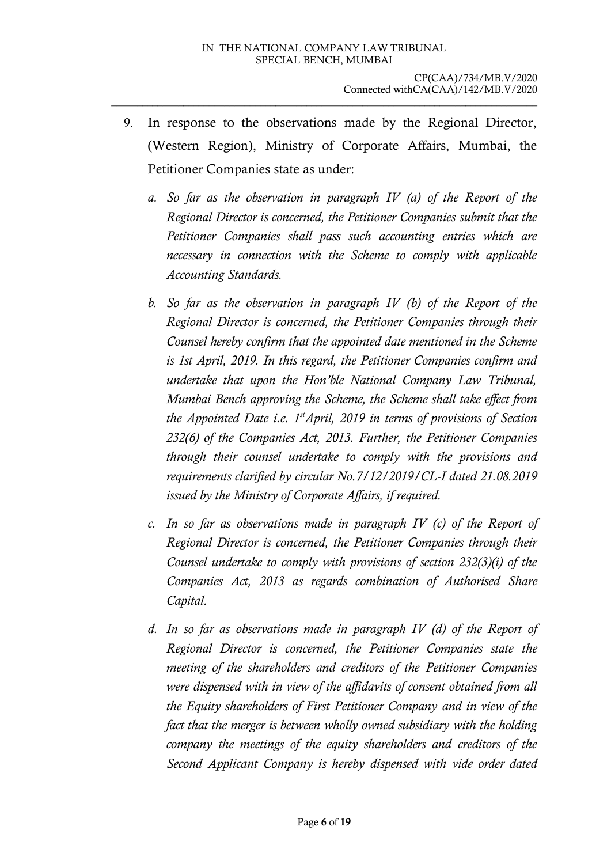- 9. In response to the observations made by the Regional Director, (Western Region), Ministry of Corporate Affairs, Mumbai, the Petitioner Companies state as under:
	- *a. So far as the observation in paragraph IV (a) of the Report of the Regional Director is concerned, the Petitioner Companies submit that the Petitioner Companies shall pass such accounting entries which are necessary in connection with the Scheme to comply with applicable Accounting Standards.*
	- *b. So far as the observation in paragraph IV (b) of the Report of the Regional Director is concerned, the Petitioner Companies through their Counsel hereby confirm that the appointed date mentioned in the Scheme is 1st April, 2019. In this regard, the Petitioner Companies confirm and undertake that upon the Hon'ble National Company Law Tribunal, Mumbai Bench approving the Scheme, the Scheme shall take effect from the Appointed Date i.e. 1stApril, 2019 in terms of provisions of Section 232(6) of the Companies Act, 2013. Further, the Petitioner Companies through their counsel undertake to comply with the provisions and requirements clarified by circular No.7/12/2019/CL-I dated 21.08.2019 issued by the Ministry of Corporate Affairs, if required.*
	- *c. In so far as observations made in paragraph IV (c) of the Report of Regional Director is concerned, the Petitioner Companies through their Counsel undertake to comply with provisions of section 232(3)(i) of the Companies Act, 2013 as regards combination of Authorised Share Capital.*
	- *d. In so far as observations made in paragraph IV (d) of the Report of Regional Director is concerned, the Petitioner Companies state the meeting of the shareholders and creditors of the Petitioner Companies were dispensed with in view of the affidavits of consent obtained from all the Equity shareholders of First Petitioner Company and in view of the fact that the merger is between wholly owned subsidiary with the holding company the meetings of the equity shareholders and creditors of the Second Applicant Company is hereby dispensed with vide order dated*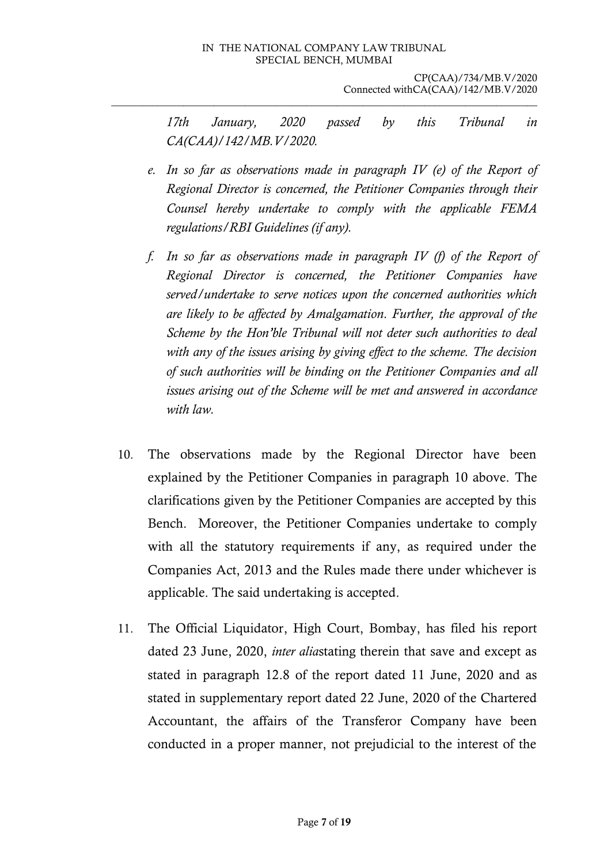*17th January, 2020 passed by this Tribunal in CA(CAA)/142/MB.V/2020.*

- *e. In so far as observations made in paragraph IV (e) of the Report of Regional Director is concerned, the Petitioner Companies through their Counsel hereby undertake to comply with the applicable FEMA regulations/RBI Guidelines (if any).*
- *f. In so far as observations made in paragraph IV (f) of the Report of Regional Director is concerned, the Petitioner Companies have served/undertake to serve notices upon the concerned authorities which are likely to be affected by Amalgamation. Further, the approval of the Scheme by the Hon'ble Tribunal will not deter such authorities to deal with any of the issues arising by giving effect to the scheme. The decision of such authorities will be binding on the Petitioner Companies and all issues arising out of the Scheme will be met and answered in accordance with law.*
- 10. The observations made by the Regional Director have been explained by the Petitioner Companies in paragraph 10 above. The clarifications given by the Petitioner Companies are accepted by this Bench. Moreover, the Petitioner Companies undertake to comply with all the statutory requirements if any, as required under the Companies Act, 2013 and the Rules made there under whichever is applicable. The said undertaking is accepted.
- 11. The Official Liquidator, High Court, Bombay, has filed his report dated 23 June, 2020, *inter alia*stating therein that save and except as stated in paragraph 12.8 of the report dated 11 June, 2020 and as stated in supplementary report dated 22 June, 2020 of the Chartered Accountant, the affairs of the Transferor Company have been conducted in a proper manner, not prejudicial to the interest of the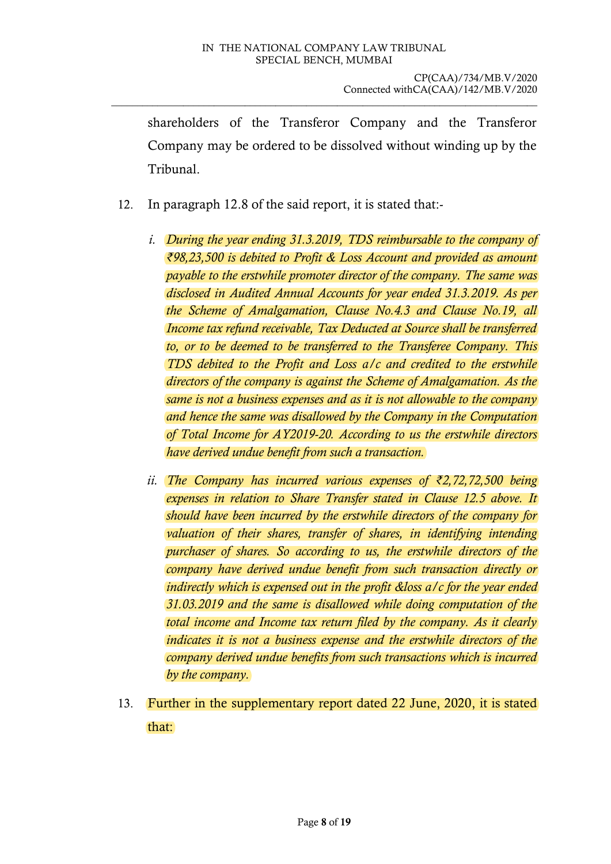shareholders of the Transferor Company and the Transferor Company may be ordered to be dissolved without winding up by the Tribunal.

- 12. In paragraph 12.8 of the said report, it is stated that:
	- *i. During the year ending 31.3.2019, TDS reimbursable to the company of ₹98,23,500 is debited to Profit & Loss Account and provided as amount payable to the erstwhile promoter director of the company. The same was disclosed in Audited Annual Accounts for year ended 31.3.2019. As per the Scheme of Amalgamation, Clause No.4.3 and Clause No.19, all Income tax refund receivable, Tax Deducted at Source shall be transferred to, or to be deemed to be transferred to the Transferee Company. This TDS debited to the Profit and Loss a/c and credited to the erstwhile directors of the company is against the Scheme of Amalgamation. As the same is not a business expenses and as it is not allowable to the company and hence the same was disallowed by the Company in the Computation of Total Income for AY2019-20. According to us the erstwhile directors have derived undue benefit from such a transaction.*
	- *ii. The Company has incurred various expenses of ₹2,72,72,500 being expenses in relation to Share Transfer stated in Clause 12.5 above. It should have been incurred by the erstwhile directors of the company for*  valuation of their shares, transfer of shares, in identifying intending *purchaser of shares. So according to us, the erstwhile directors of the company have derived undue benefit from such transaction directly or indirectly which is expensed out in the profit &loss a/c for the year ended 31.03.2019 and the same is disallowed while doing computation of the total income and Income tax return filed by the company. As it clearly indicates it is not a business expense and the erstwhile directors of the company derived undue benefits from such transactions which is incurred by the company.*
- 13. Further in the supplementary report dated 22 June, 2020, it is stated that: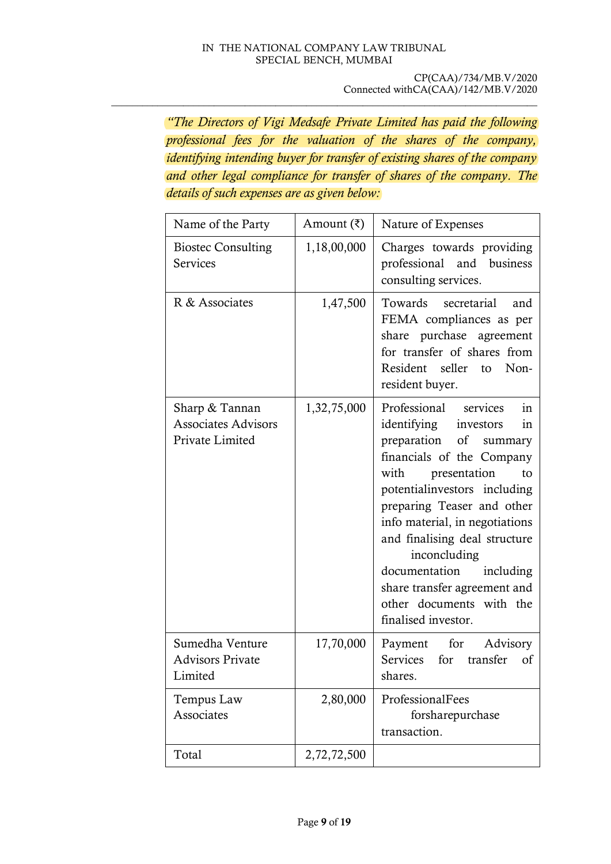\_\_\_\_\_\_\_\_\_\_\_\_\_\_\_\_\_\_\_\_\_\_\_\_\_\_\_\_\_\_\_\_\_\_\_\_\_\_\_\_\_\_\_\_\_\_\_\_\_\_\_\_\_\_\_\_\_\_\_\_\_\_\_\_\_\_\_\_\_\_\_\_\_\_\_\_\_\_\_\_\_\_\_

*"The Directors of Vigi Medsafe Private Limited has paid the following professional fees for the valuation of the shares of the company, identifying intending buyer for transfer of existing shares of the company and other legal compliance for transfer of shares of the company. The details of such expenses are as given below:*

| Name of the Party                                               | Amount $(\bar{\zeta})$ | Nature of Expenses                                                                                                                                                                                                                                                                                                                                                                                                    |
|-----------------------------------------------------------------|------------------------|-----------------------------------------------------------------------------------------------------------------------------------------------------------------------------------------------------------------------------------------------------------------------------------------------------------------------------------------------------------------------------------------------------------------------|
| <b>Biostec Consulting</b><br>Services                           | 1,18,00,000            | Charges towards providing<br>professional and<br>business<br>consulting services.                                                                                                                                                                                                                                                                                                                                     |
| R & Associates                                                  | 1,47,500               | Towards secretarial<br>and<br>FEMA compliances as per<br>share purchase agreement<br>for transfer of shares from<br>Resident seller to<br>Non-<br>resident buyer.                                                                                                                                                                                                                                                     |
| Sharp & Tannan<br><b>Associates Advisors</b><br>Private Limited | 1,32,75,000            | Professional<br>services<br>in<br>identifying<br>investors<br>in<br>preparation of summary<br>financials of the Company<br>with<br>presentation<br>to<br>potential investors including<br>preparing Teaser and other<br>info material, in negotiations<br>and finalising deal structure<br>inconcluding<br>documentation including<br>share transfer agreement and<br>other documents with the<br>finalised investor. |
| Sumedha Venture<br><b>Advisors Private</b><br>Limited           | 17,70,000              | Payment for<br>Advisory<br>Services for transfer<br><sub>of</sub><br>shares.                                                                                                                                                                                                                                                                                                                                          |
| Tempus Law<br>Associates                                        | 2,80,000               | ProfessionalFees<br>forsharepurchase<br>transaction.                                                                                                                                                                                                                                                                                                                                                                  |
| Total                                                           | 2,72,72,500            |                                                                                                                                                                                                                                                                                                                                                                                                                       |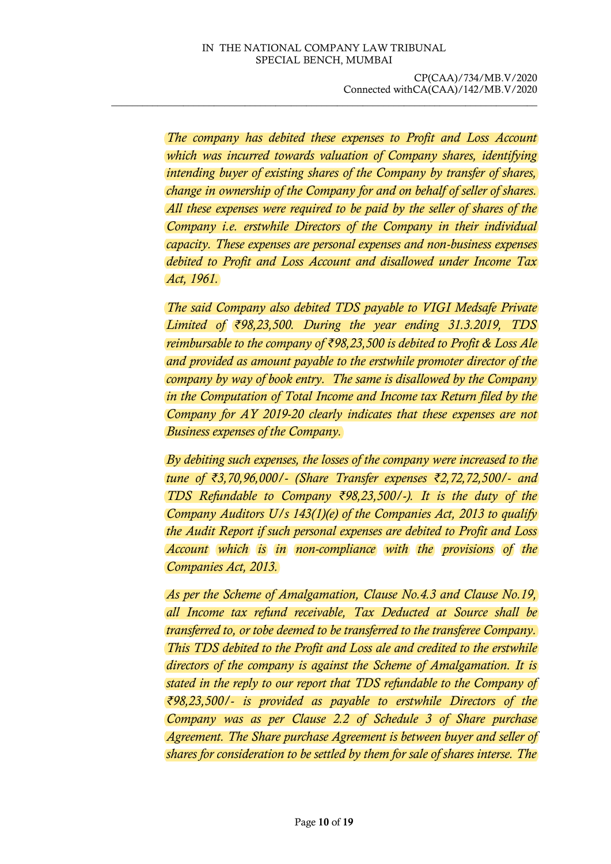*The company has debited these expenses to Profit and Loss Account which was incurred towards valuation of Company shares, identifying intending buyer of existing shares of the Company by transfer of shares, change in ownership of the Company for and on behalf of seller of shares. All these expenses were required to be paid by the seller of shares of the Company i.e. erstwhile Directors of the Company in their individual capacity. These expenses are personal expenses and non-business expenses debited to Profit and Loss Account and disallowed under Income Tax Act, 1961.*

*The said Company also debited TDS payable to VIGI Medsafe Private Limited of ₹98,23,500. During the year ending 31.3.2019, TDS reimbursable to the company of ₹98,23,500 is debited to Profit & Loss Ale and provided as amount payable to the erstwhile promoter director of the company by way of book entry. The same is disallowed by the Company in the Computation of Total Income and Income tax Return filed by the Company for AY 2019-20 clearly indicates that these expenses are not Business expenses of the Company.*

*By debiting such expenses, the losses of the company were increased to the tune of ₹3,70,96,000/- (Share Transfer expenses ₹2,72,72,500/- and TDS Refundable to Company ₹98,23,500/-). It is the duty of the Company Auditors U/s 143(1)(e) of the Companies Act, 2013 to qualify the Audit Report if such personal expenses are debited to Profit and Loss Account which is in non-compliance with the provisions of the Companies Act, 2013.*

*As per the Scheme of Amalgamation, Clause No.4.3 and Clause No.19, all Income tax refund receivable, Tax Deducted at Source shall be transferred to, or tobe deemed to be transferred to the transferee Company. This TDS debited to the Profit and Loss ale and credited to the erstwhile directors of the company is against the Scheme of Amalgamation. It is stated in the reply to our report that TDS refundable to the Company of ₹98,23,500/- is provided as payable to erstwhile Directors of the Company was as per Clause 2.2 of Schedule 3 of Share purchase Agreement. The Share purchase Agreement is between buyer and seller of shares for consideration to be settled by them for sale of shares interse. The*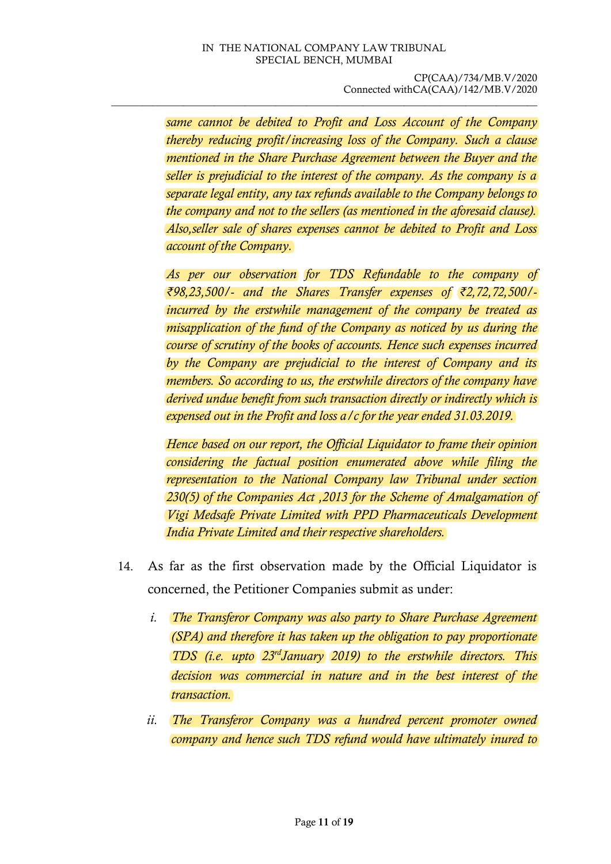\_\_\_\_\_\_\_\_\_\_\_\_\_\_\_\_\_\_\_\_\_\_\_\_\_\_\_\_\_\_\_\_\_\_\_\_\_\_\_\_\_\_\_\_\_\_\_\_\_\_\_\_\_\_\_\_\_\_\_\_\_\_\_\_\_\_\_\_\_\_\_\_\_\_\_\_\_\_\_\_\_\_\_

*same cannot be debited to Profit and Loss Account of the Company thereby reducing profit/increasing loss of the Company. Such a clause mentioned in the Share Purchase Agreement between the Buyer and the seller is prejudicial to the interest of the company. As the company is a separate legal entity, any tax refunds available to the Company belongs to the company and not to the sellers (as mentioned in the aforesaid clause). Also,seller sale of shares expenses cannot be debited to Profit and Loss account of the Company.*

*As per our observation for TDS Refundable to the company of ₹98,23,500/- and the Shares Transfer expenses of ₹2,72,72,500/ incurred by the erstwhile management of the company be treated as misapplication of the fund of the Company as noticed by us during the course of scrutiny of the books of accounts. Hence such expenses incurred by the Company are prejudicial to the interest of Company and its members. So according to us, the erstwhile directors of the company have derived undue benefit from such transaction directly or indirectly which is expensed out in the Profit and loss a/c for the year ended 31.03.2019.*

*Hence based on our report, the Official Liquidator to frame their opinion considering the factual position enumerated above while filing the representation to the National Company law Tribunal under section 230(5) of the Companies Act ,2013 for the Scheme of Amalgamation of Vigi Medsafe Private Limited with PPD Pharmaceuticals Development India Private Limited and their respective shareholders.*

- 14. As far as the first observation made by the Official Liquidator is concerned, the Petitioner Companies submit as under:
	- *i. The Transferor Company was also party to Share Purchase Agreement (SPA) and therefore it has taken up the obligation to pay proportionate TDS (i.e. upto 23rdJanuary 2019) to the erstwhile directors. This decision was commercial in nature and in the best interest of the transaction.*
	- *ii. The Transferor Company was a hundred percent promoter owned company and hence such TDS refund would have ultimately inured to*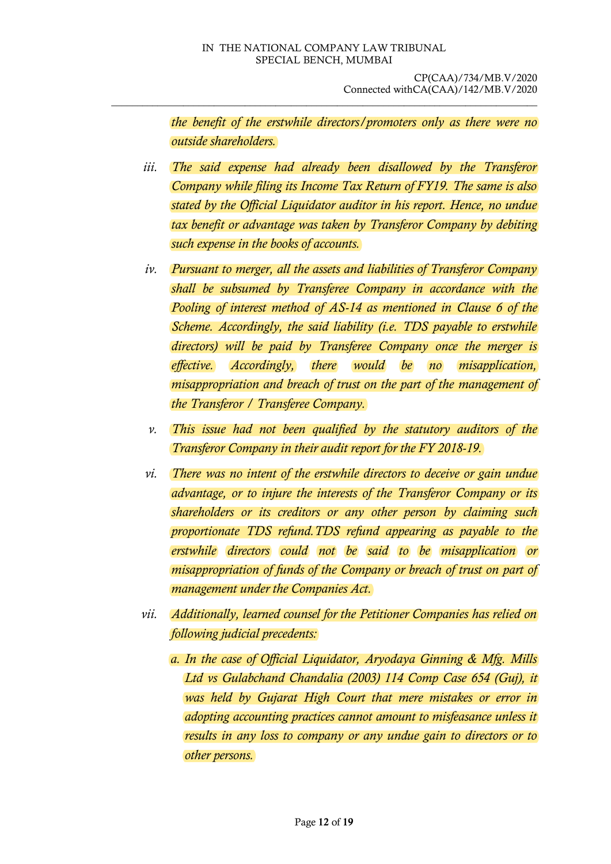*the benefit of the erstwhile directors/promoters only as there were no outside shareholders.* 

- *iii. The said expense had already been disallowed by the Transferor Company while filing its Income Tax Return of FY19. The same is also stated by the Official Liquidator auditor in his report. Hence, no undue tax benefit or advantage was taken by Transferor Company by debiting such expense in the books of accounts.*
- *iv. Pursuant to merger, all the assets and liabilities of Transferor Company shall be subsumed by Transferee Company in accordance with the Pooling of interest method of AS-14 as mentioned in Clause 6 of the Scheme. Accordingly, the said liability (i.e. TDS payable to erstwhile directors) will be paid by Transferee Company once the merger is effective. Accordingly, there would be no misapplication, misappropriation and breach of trust on the part of the management of the Transferor / Transferee Company.*
- *v. This issue had not been qualified by the statutory auditors of the Transferor Company in their audit report for the FY 2018-19.*
- *vi. There was no intent of the erstwhile directors to deceive or gain undue advantage, or to injure the interests of the Transferor Company or its shareholders or its creditors or any other person by claiming such proportionate TDS refund.TDS refund appearing as payable to the erstwhile directors could not be said to be misapplication or misappropriation of funds of the Company or breach of trust on part of management under the Companies Act.*
- *vii. Additionally, learned counsel for the Petitioner Companies has relied on following judicial precedents:*
	- *a. In the case of Official Liquidator, Aryodaya Ginning & Mfg. Mills Ltd vs Gulabchand Chandalia (2003) 114 Comp Case 654 (Guj), it was held by Gujarat High Court that mere mistakes or error in adopting accounting practices cannot amount to misfeasance unless it results in any loss to company or any undue gain to directors or to other persons.*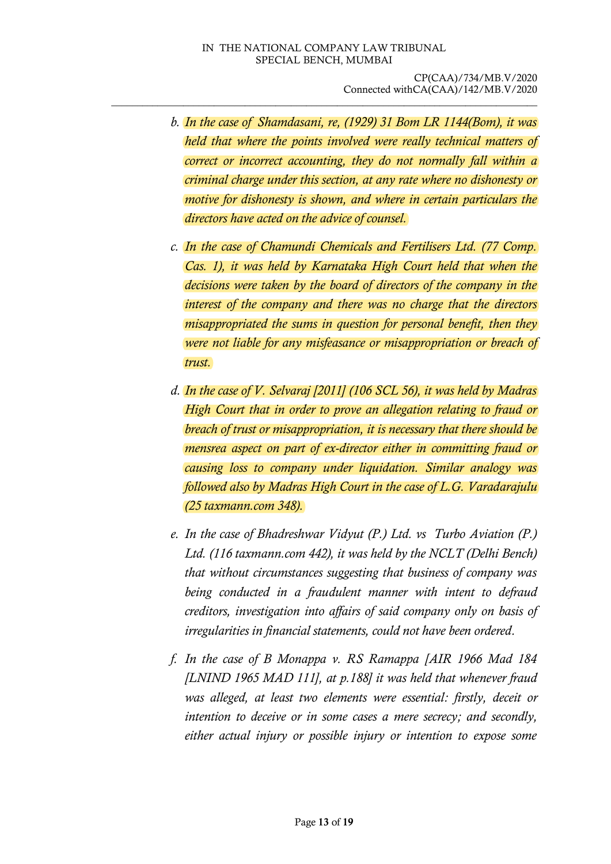- *b. In the case of Shamdasani, re, (1929) 31 Bom LR 1144(Bom), it was held that where the points involved were really technical matters of correct or incorrect accounting, they do not normally fall within a criminal charge under this section, at any rate where no dishonesty or motive for dishonesty is shown, and where in certain particulars the directors have acted on the advice of counsel.*
- *c. In the case of Chamundi Chemicals and Fertilisers Ltd. (77 Comp. Cas. 1), it was held by Karnataka High Court held that when the decisions were taken by the board of directors of the company in the interest of the company and there was no charge that the directors misappropriated the sums in question for personal benefit, then they were not liable for any misfeasance or misappropriation or breach of trust.*
- *d. In the case of V. Selvaraj [2011] (106 SCL 56), it was held by Madras High Court that in order to prove an allegation relating to fraud or breach of trust or misappropriation, it is necessary that there should be mensrea aspect on part of ex-director either in committing fraud or causing loss to company under liquidation. Similar analogy was followed also by Madras High Court in the case of L.G. Varadarajulu (25 taxmann.com 348).*
- *e. In the case of Bhadreshwar Vidyut (P.) Ltd. vs Turbo Aviation (P.) Ltd. (116 taxmann.com 442), it was held by the NCLT (Delhi Bench) that without circumstances suggesting that business of company was being conducted in a fraudulent manner with intent to defraud creditors, investigation into affairs of said company only on basis of irregularities in financial statements, could not have been ordered.*
- *f. In the case of B Monappa v. RS Ramappa [AIR 1966 Mad 184 [LNIND 1965 MAD 111], at p.188] it was held that whenever fraud was alleged, at least two elements were essential: firstly, deceit or intention to deceive or in some cases a mere secrecy; and secondly, either actual injury or possible injury or intention to expose some*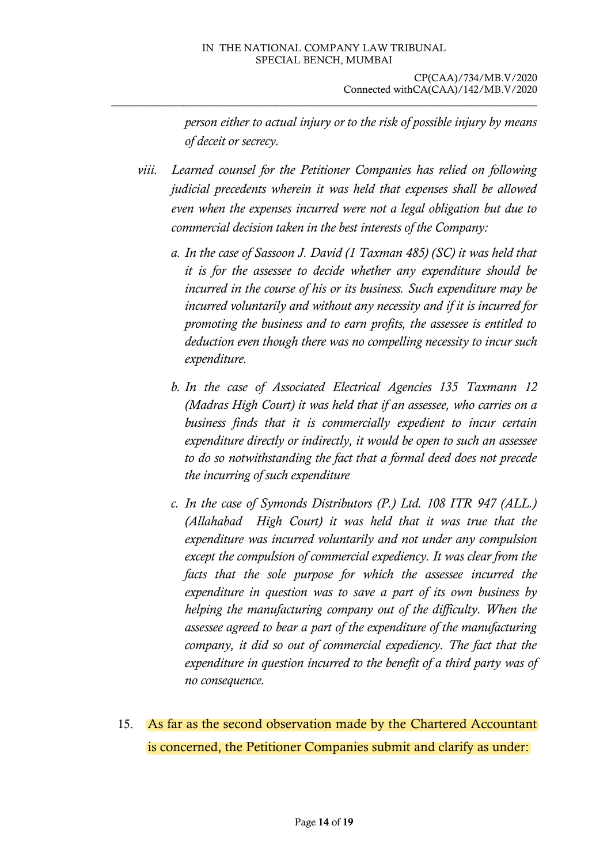*person either to actual injury or to the risk of possible injury by means of deceit or secrecy.*

*viii. Learned counsel for the Petitioner Companies has relied on following judicial precedents wherein it was held that expenses shall be allowed even when the expenses incurred were not a legal obligation but due to commercial decision taken in the best interests of the Company:*

- *a. In the case of Sassoon J. David (1 Taxman 485) (SC) it was held that it is for the assessee to decide whether any expenditure should be incurred in the course of his or its business. Such expenditure may be incurred voluntarily and without any necessity and if it is incurred for promoting the business and to earn profits, the assessee is entitled to deduction even though there was no compelling necessity to incur such expenditure.*
- *b. In the case of Associated Electrical Agencies 135 Taxmann 12 (Madras High Court) it was held that if an assessee, who carries on a business finds that it is commercially expedient to incur certain expenditure directly or indirectly, it would be open to such an assessee to do so notwithstanding the fact that a formal deed does not precede the incurring of such expenditure*
- *c. In the case of Symonds Distributors (P.) Ltd. 108 ITR 947 (ALL.) (Allahabad High Court) it was held that it was true that the expenditure was incurred voluntarily and not under any compulsion except the compulsion of commercial expediency. It was clear from the facts that the sole purpose for which the assessee incurred the expenditure in question was to save a part of its own business by helping the manufacturing company out of the difficulty. When the assessee agreed to bear a part of the expenditure of the manufacturing company, it did so out of commercial expediency. The fact that the expenditure in question incurred to the benefit of a third party was of no consequence.*
- 15. As far as the second observation made by the Chartered Accountant is concerned, the Petitioner Companies submit and clarify as under: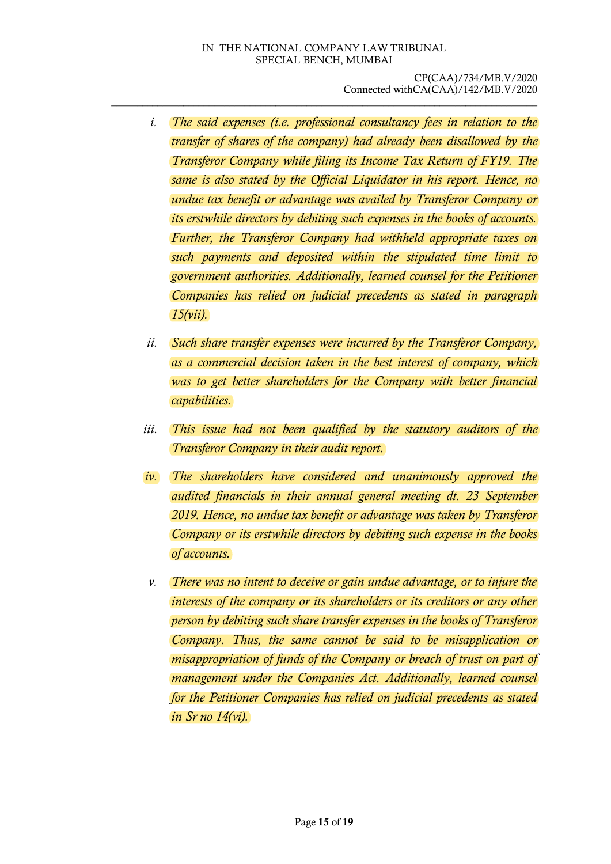\_\_\_\_\_\_\_\_\_\_\_\_\_\_\_\_\_\_\_\_\_\_\_\_\_\_\_\_\_\_\_\_\_\_\_\_\_\_\_\_\_\_\_\_\_\_\_\_\_\_\_\_\_\_\_\_\_\_\_\_\_\_\_\_\_\_\_\_\_\_\_\_\_\_\_\_\_\_\_\_\_\_\_

- *i. The said expenses (i.e. professional consultancy fees in relation to the transfer of shares of the company) had already been disallowed by the Transferor Company while filing its Income Tax Return of FY19. The same is also stated by the Official Liquidator in his report. Hence, no undue tax benefit or advantage was availed by Transferor Company or its erstwhile directors by debiting such expenses in the books of accounts. Further, the Transferor Company had withheld appropriate taxes on such payments and deposited within the stipulated time limit to government authorities. Additionally, learned counsel for the Petitioner Companies has relied on judicial precedents as stated in paragraph 15(vii).*
- *ii. Such share transfer expenses were incurred by the Transferor Company, as a commercial decision taken in the best interest of company, which was to get better shareholders for the Company with better financial capabilities.*
- *iii. This issue had not been qualified by the statutory auditors of the Transferor Company in their audit report.*
- *iv. The shareholders have considered and unanimously approved the audited financials in their annual general meeting dt. 23 September 2019. Hence, no undue tax benefit or advantage was taken by Transferor Company or its erstwhile directors by debiting such expense in the books of accounts.*
- *v. There was no intent to deceive or gain undue advantage, or to injure the interests of the company or its shareholders or its creditors or any other person by debiting such share transfer expenses in the books of Transferor Company. Thus, the same cannot be said to be misapplication or misappropriation of funds of the Company or breach of trust on part of management under the Companies Act. Additionally, learned counsel for the Petitioner Companies has relied on judicial precedents as stated in Sr no 14(vi).*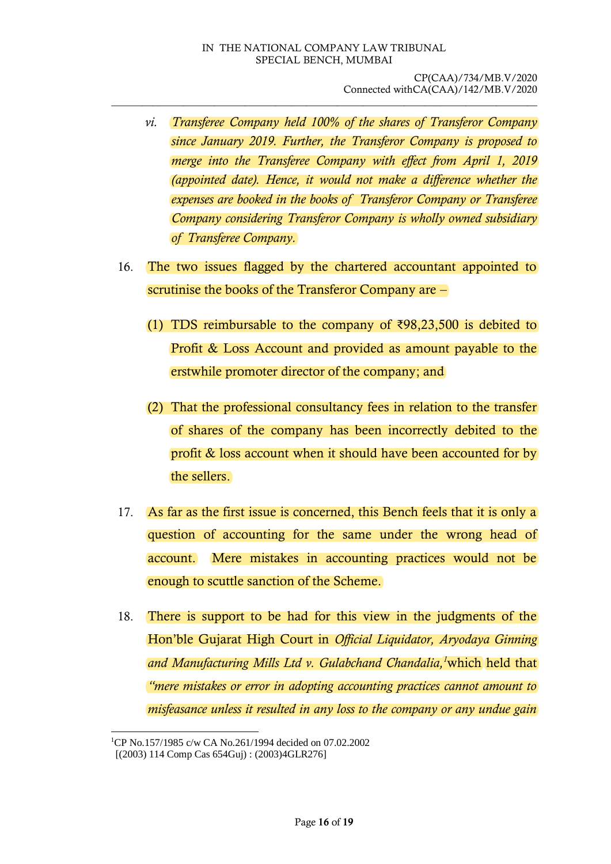- *vi. Transferee Company held 100% of the shares of Transferor Company since January 2019. Further, the Transferor Company is proposed to merge into the Transferee Company with effect from April 1, 2019 (appointed date). Hence, it would not make a difference whether the expenses are booked in the books of Transferor Company or Transferee Company considering Transferor Company is wholly owned subsidiary of Transferee Company.*
- 16. The two issues flagged by the chartered accountant appointed to scrutinise the books of the Transferor Company are –
	- (1) TDS reimbursable to the company of  $\text{\textdegree{398}},23,500$  is debited to Profit & Loss Account and provided as amount payable to the erstwhile promoter director of the company; and
	- (2) That the professional consultancy fees in relation to the transfer of shares of the company has been incorrectly debited to the profit & loss account when it should have been accounted for by the sellers.
- 17. As far as the first issue is concerned, this Bench feels that it is only a question of accounting for the same under the wrong head of account. Mere mistakes in accounting practices would not be enough to scuttle sanction of the Scheme.
- 18. There is support to be had for this view in the judgments of the Hon'ble Gujarat High Court in *Official Liquidator, Aryodaya Ginning and Manufacturing Mills Ltd v. Gulabchand Chandalia, <sup>1</sup>*which held that *"mere mistakes or error in adopting accounting practices cannot amount to misfeasance unless it resulted in any loss to the company or any undue gain*

-

<sup>&</sup>lt;sup>1</sup>CP No.157/1985 c/w CA No.261/1994 decided on 07.02.2002

<sup>[(2003) 114</sup> Comp Cas 654Guj) : (2003)4GLR276]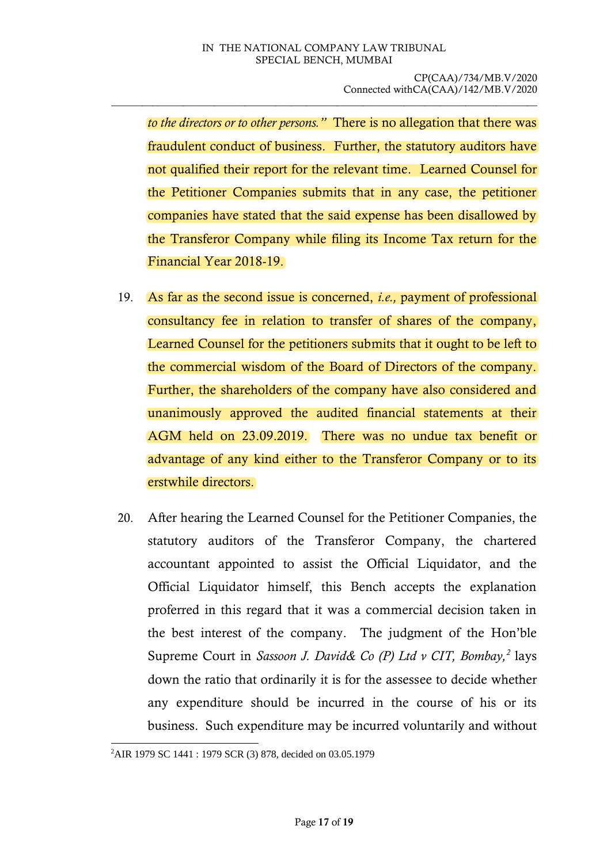*to the directors or to other persons."* There is no allegation that there was fraudulent conduct of business. Further, the statutory auditors have not qualified their report for the relevant time. Learned Counsel for the Petitioner Companies submits that in any case, the petitioner companies have stated that the said expense has been disallowed by the Transferor Company while filing its Income Tax return for the Financial Year 2018-19.

- 19. As far as the second issue is concerned, *i.e.,* payment of professional consultancy fee in relation to transfer of shares of the company, Learned Counsel for the petitioners submits that it ought to be left to the commercial wisdom of the Board of Directors of the company. Further, the shareholders of the company have also considered and unanimously approved the audited financial statements at their AGM held on 23.09.2019. There was no undue tax benefit or advantage of any kind either to the Transferor Company or to its erstwhile directors.
- 20. After hearing the Learned Counsel for the Petitioner Companies, the statutory auditors of the Transferor Company, the chartered accountant appointed to assist the Official Liquidator, and the Official Liquidator himself, this Bench accepts the explanation proferred in this regard that it was a commercial decision taken in the best interest of the company. The judgment of the Hon'ble Supreme Court in *Sassoon J. David& Co (P) Ltd v CIT, Bombay,<sup>2</sup>* lays down the ratio that ordinarily it is for the assessee to decide whether any expenditure should be incurred in the course of his or its business. Such expenditure may be incurred voluntarily and without

<sup>-</sup>2AIR 1979 SC 1441 : 1979 SCR (3) 878, decided on 03.05.1979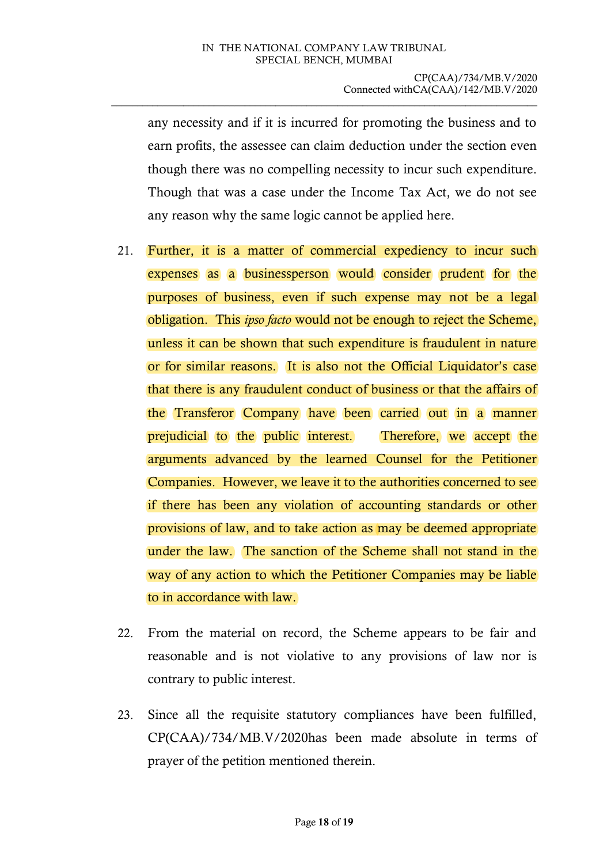any necessity and if it is incurred for promoting the business and to earn profits, the assessee can claim deduction under the section even though there was no compelling necessity to incur such expenditure. Though that was a case under the Income Tax Act, we do not see any reason why the same logic cannot be applied here.

- 21. Further, it is a matter of commercial expediency to incur such expenses as a businessperson would consider prudent for the purposes of business, even if such expense may not be a legal obligation. This *ipso facto* would not be enough to reject the Scheme, unless it can be shown that such expenditure is fraudulent in nature or for similar reasons. It is also not the Official Liquidator's case that there is any fraudulent conduct of business or that the affairs of the Transferor Company have been carried out in a manner prejudicial to the public interest. Therefore, we accept the arguments advanced by the learned Counsel for the Petitioner Companies. However, we leave it to the authorities concerned to see if there has been any violation of accounting standards or other provisions of law, and to take action as may be deemed appropriate under the law. The sanction of the Scheme shall not stand in the way of any action to which the Petitioner Companies may be liable to in accordance with law.
- 22. From the material on record, the Scheme appears to be fair and reasonable and is not violative to any provisions of law nor is contrary to public interest.
- 23. Since all the requisite statutory compliances have been fulfilled, CP(CAA)/734/MB.V/2020has been made absolute in terms of prayer of the petition mentioned therein.